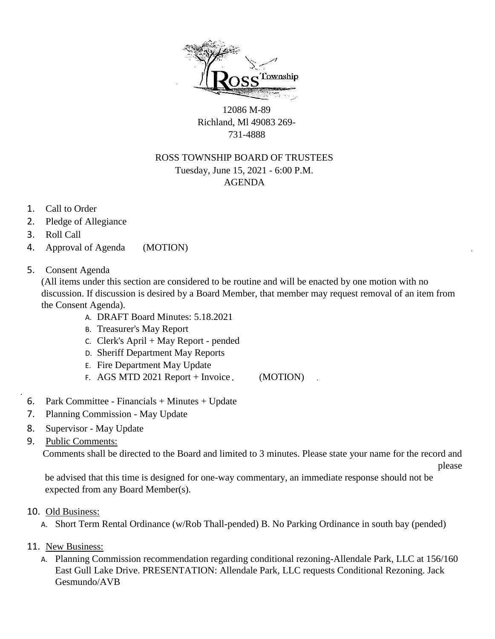

12086 M-89 Richland, Ml 49083 269- 731-4888

## ROSS TOWNSHIP BOARD OF TRUSTEES Tuesday, June 15, 2021 - 6:00 P.M. AGENDA

- 1. Call to Order
- 2. Pledge of Allegiance
- 3. Roll Call
- 4. Approval of Agenda (MOTION)
- 5. Consent Agenda

(All items under this section are considered to be routine and will be enacted by one motion with no discussion. If discussion is desired by a Board Member, that member may request removal of an item from the Consent Agenda).

- A. DRAFT Board Minutes: 5.18.2021
- B. Treasurer's May Report
- C. Clerk's April + May Report pended
- D. Sheriff Department May Reports
- E. Fire Department May Update
- F. AGS MTD 2021 Report + Invoice (MOTION)
- 6. Park Committee Financials + Minutes + Update
- 7. Planning Commission May Update
- 8. Supervisor May Update
- 9. Public Comments:

Comments shall be directed to the Board and limited to 3 minutes. Please state your name for the record and

please

be advised that this time is designed for one-way commentary, an immediate response should not be expected from any Board Member(s).

- 10. Old Business:
	- A. Short Term Rental Ordinance (w/Rob Thall-pended) B. No Parking Ordinance in south bay (pended)
- 11. New Business:
	- A. Planning Commission recommendation regarding conditional rezoning-Allendale Park, LLC at 156/160 East Gull Lake Drive. PRESENTATION: Allendale Park, LLC requests Conditional Rezoning. Jack Gesmundo/AVB